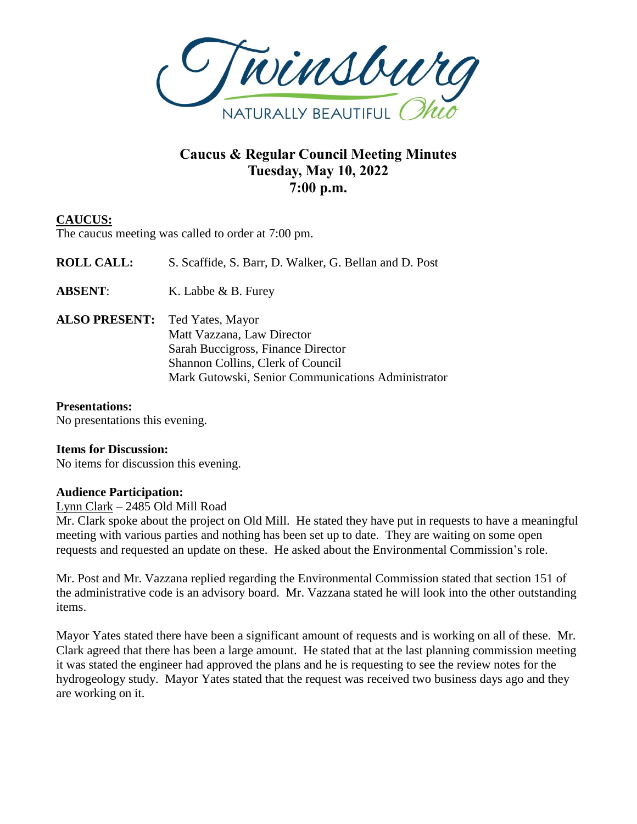

# **Caucus & Regular Council Meeting Minutes Tuesday, May 10, 2022 7:00 p.m.**

# **CAUCUS:**

The caucus meeting was called to order at 7:00 pm.

| <b>ROLL CALL:</b>                     | S. Scaffide, S. Barr, D. Walker, G. Bellan and D. Post                                                                                                      |
|---------------------------------------|-------------------------------------------------------------------------------------------------------------------------------------------------------------|
| <b>ABSENT:</b>                        | K. Labbe & B. Furey                                                                                                                                         |
| <b>ALSO PRESENT:</b> Ted Yates, Mayor | Matt Vazzana, Law Director<br>Sarah Buccigross, Finance Director<br>Shannon Collins, Clerk of Council<br>Mark Gutowski, Senior Communications Administrator |

# **Presentations:**

No presentations this evening.

# **Items for Discussion:**

No items for discussion this evening.

### **Audience Participation:**

Lynn Clark – 2485 Old Mill Road

Mr. Clark spoke about the project on Old Mill. He stated they have put in requests to have a meaningful meeting with various parties and nothing has been set up to date. They are waiting on some open requests and requested an update on these. He asked about the Environmental Commission's role.

Mr. Post and Mr. Vazzana replied regarding the Environmental Commission stated that section 151 of the administrative code is an advisory board. Mr. Vazzana stated he will look into the other outstanding items.

Mayor Yates stated there have been a significant amount of requests and is working on all of these. Mr. Clark agreed that there has been a large amount. He stated that at the last planning commission meeting it was stated the engineer had approved the plans and he is requesting to see the review notes for the hydrogeology study. Mayor Yates stated that the request was received two business days ago and they are working on it.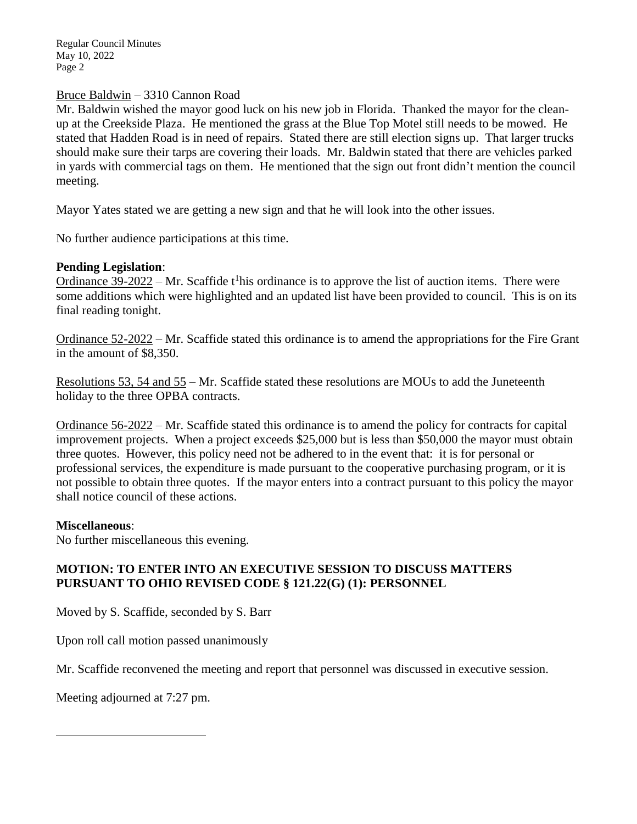### Bruce Baldwin – 3310 Cannon Road

Mr. Baldwin wished the mayor good luck on his new job in Florida. Thanked the mayor for the cleanup at the Creekside Plaza. He mentioned the grass at the Blue Top Motel still needs to be mowed. He stated that Hadden Road is in need of repairs. Stated there are still election signs up. That larger trucks should make sure their tarps are covering their loads. Mr. Baldwin stated that there are vehicles parked in yards with commercial tags on them. He mentioned that the sign out front didn't mention the council meeting.

Mayor Yates stated we are getting a new sign and that he will look into the other issues.

No further audience participations at this time.

#### **Pending Legislation**:

Ordinance  $39-2022$  – Mr. Scaffide t<sup>1</sup>his ordinance is to approve the list of auction items. There were some additions which were highlighted and an updated list have been provided to council. This is on its final reading tonight.

Ordinance 52-2022 – Mr. Scaffide stated this ordinance is to amend the appropriations for the Fire Grant in the amount of \$8,350.

Resolutions 53, 54 and 55 – Mr. Scaffide stated these resolutions are MOUs to add the Juneteenth holiday to the three OPBA contracts.

Ordinance 56-2022 – Mr. Scaffide stated this ordinance is to amend the policy for contracts for capital improvement projects. When a project exceeds \$25,000 but is less than \$50,000 the mayor must obtain three quotes. However, this policy need not be adhered to in the event that: it is for personal or professional services, the expenditure is made pursuant to the cooperative purchasing program, or it is not possible to obtain three quotes. If the mayor enters into a contract pursuant to this policy the mayor shall notice council of these actions.

#### **Miscellaneous**:

 $\overline{a}$ 

No further miscellaneous this evening.

# **MOTION: TO ENTER INTO AN EXECUTIVE SESSION TO DISCUSS MATTERS PURSUANT TO OHIO REVISED CODE § 121.22(G) (1): PERSONNEL**

Moved by S. Scaffide, seconded by S. Barr

Upon roll call motion passed unanimously

Mr. Scaffide reconvened the meeting and report that personnel was discussed in executive session.

Meeting adjourned at 7:27 pm.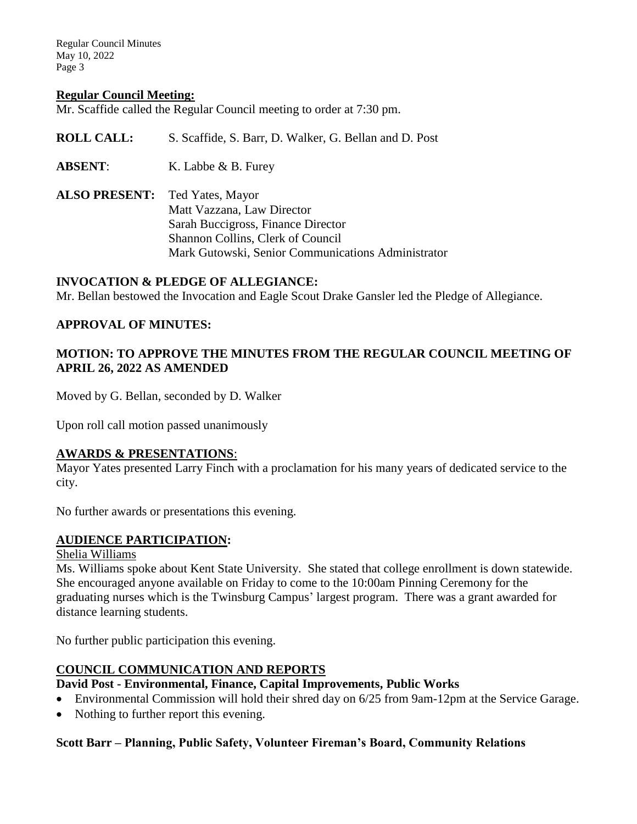#### **Regular Council Meeting:**

Mr. Scaffide called the Regular Council meeting to order at 7:30 pm.

| <b>ROLL CALL:</b>                     | S. Scaffide, S. Barr, D. Walker, G. Bellan and D. Post                                                |
|---------------------------------------|-------------------------------------------------------------------------------------------------------|
| <b>ABSENT:</b>                        | K. Labbe $\&$ B. Furey                                                                                |
| <b>ALSO PRESENT:</b> Ted Yates, Mayor | Matt Vazzana, Law Director<br>Sarah Buccigross, Finance Director<br>Shannon Collins, Clerk of Council |

#### **INVOCATION & PLEDGE OF ALLEGIANCE:**

Mr. Bellan bestowed the Invocation and Eagle Scout Drake Gansler led the Pledge of Allegiance.

Mark Gutowski, Senior Communications Administrator

#### **APPROVAL OF MINUTES:**

### **MOTION: TO APPROVE THE MINUTES FROM THE REGULAR COUNCIL MEETING OF APRIL 26, 2022 AS AMENDED**

Moved by G. Bellan, seconded by D. Walker

Upon roll call motion passed unanimously

#### **AWARDS & PRESENTATIONS**:

Mayor Yates presented Larry Finch with a proclamation for his many years of dedicated service to the city.

No further awards or presentations this evening.

### **AUDIENCE PARTICIPATION:**

Shelia Williams

Ms. Williams spoke about Kent State University. She stated that college enrollment is down statewide. She encouraged anyone available on Friday to come to the 10:00am Pinning Ceremony for the graduating nurses which is the Twinsburg Campus' largest program. There was a grant awarded for distance learning students.

No further public participation this evening.

### **COUNCIL COMMUNICATION AND REPORTS**

### **David Post - Environmental, Finance, Capital Improvements, Public Works**

- Environmental Commission will hold their shred day on 6/25 from 9am-12pm at the Service Garage.
- Nothing to further report this evening.

### **Scott Barr – Planning, Public Safety, Volunteer Fireman's Board, Community Relations**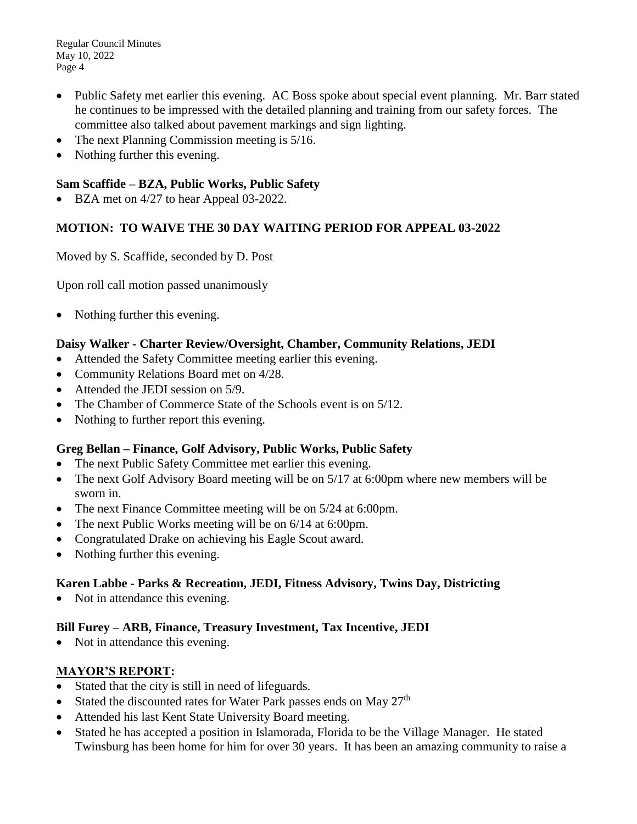- Public Safety met earlier this evening. AC Boss spoke about special event planning. Mr. Barr stated he continues to be impressed with the detailed planning and training from our safety forces. The committee also talked about pavement markings and sign lighting.
- The next Planning Commission meeting is  $5/16$ .
- Nothing further this evening.

# **Sam Scaffide – BZA, Public Works, Public Safety**

BZA met on 4/27 to hear Appeal 03-2022.

# **MOTION: TO WAIVE THE 30 DAY WAITING PERIOD FOR APPEAL 03-2022**

Moved by S. Scaffide, seconded by D. Post

Upon roll call motion passed unanimously

Nothing further this evening.

# **Daisy Walker - Charter Review/Oversight, Chamber, Community Relations, JEDI**

- Attended the Safety Committee meeting earlier this evening.
- Community Relations Board met on  $4/28$ .
- Attended the JEDI session on 5/9.
- The Chamber of Commerce State of the Schools event is on 5/12.
- Nothing to further report this evening.

# **Greg Bellan – Finance, Golf Advisory, Public Works, Public Safety**

- The next Public Safety Committee met earlier this evening.
- The next Golf Advisory Board meeting will be on 5/17 at 6:00pm where new members will be sworn in.
- The next Finance Committee meeting will be on  $5/24$  at 6:00pm.
- The next Public Works meeting will be on  $6/14$  at 6:00pm.
- Congratulated Drake on achieving his Eagle Scout award.
- Nothing further this evening.

# **Karen Labbe - Parks & Recreation, JEDI, Fitness Advisory, Twins Day, Districting**

• Not in attendance this evening.

# **Bill Furey – ARB, Finance, Treasury Investment, Tax Incentive, JEDI**

• Not in attendance this evening.

# **MAYOR'S REPORT:**

- Stated that the city is still in need of lifeguards.
- Stated the discounted rates for Water Park passes ends on May  $27<sup>th</sup>$
- Attended his last Kent State University Board meeting.
- Stated he has accepted a position in Islamorada, Florida to be the Village Manager. He stated Twinsburg has been home for him for over 30 years. It has been an amazing community to raise a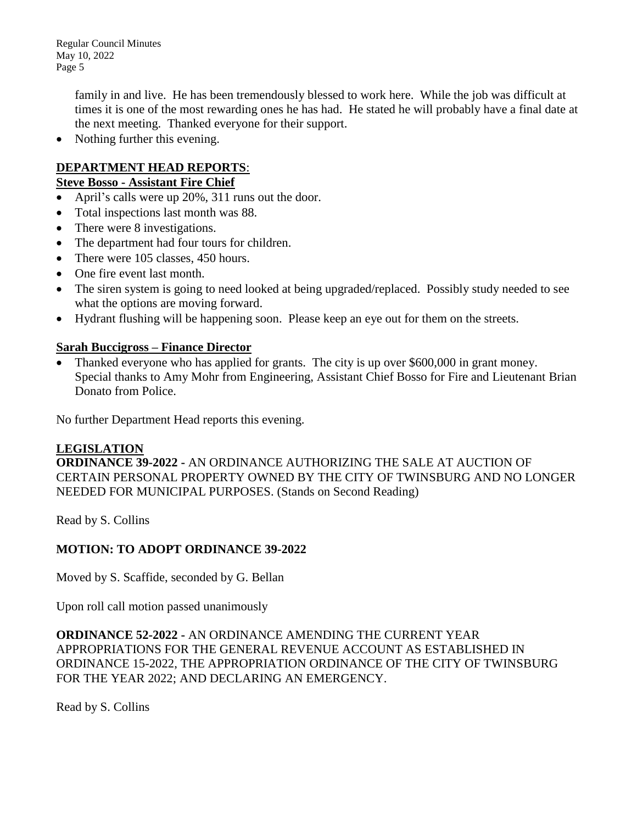> family in and live. He has been tremendously blessed to work here. While the job was difficult at times it is one of the most rewarding ones he has had. He stated he will probably have a final date at the next meeting. Thanked everyone for their support.

• Nothing further this evening.

# **DEPARTMENT HEAD REPORTS**:

### **Steve Bosso - Assistant Fire Chief**

- April's calls were up 20%, 311 runs out the door.
- Total inspections last month was 88.
- There were 8 investigations.
- The department had four tours for children.
- There were 105 classes, 450 hours.
- One fire event last month.
- The siren system is going to need looked at being upgraded/replaced. Possibly study needed to see what the options are moving forward.
- Hydrant flushing will be happening soon. Please keep an eye out for them on the streets.

### **Sarah Buccigross – Finance Director**

 Thanked everyone who has applied for grants. The city is up over \$600,000 in grant money. Special thanks to Amy Mohr from Engineering, Assistant Chief Bosso for Fire and Lieutenant Brian Donato from Police.

No further Department Head reports this evening.

### **LEGISLATION**

**ORDINANCE 39-2022 -** AN ORDINANCE AUTHORIZING THE SALE AT AUCTION OF CERTAIN PERSONAL PROPERTY OWNED BY THE CITY OF TWINSBURG AND NO LONGER NEEDED FOR MUNICIPAL PURPOSES. (Stands on Second Reading)

Read by S. Collins

# **MOTION: TO ADOPT ORDINANCE 39-2022**

Moved by S. Scaffide, seconded by G. Bellan

Upon roll call motion passed unanimously

**ORDINANCE 52-2022 -** AN ORDINANCE AMENDING THE CURRENT YEAR APPROPRIATIONS FOR THE GENERAL REVENUE ACCOUNT AS ESTABLISHED IN ORDINANCE 15-2022, THE APPROPRIATION ORDINANCE OF THE CITY OF TWINSBURG FOR THE YEAR 2022; AND DECLARING AN EMERGENCY.

Read by S. Collins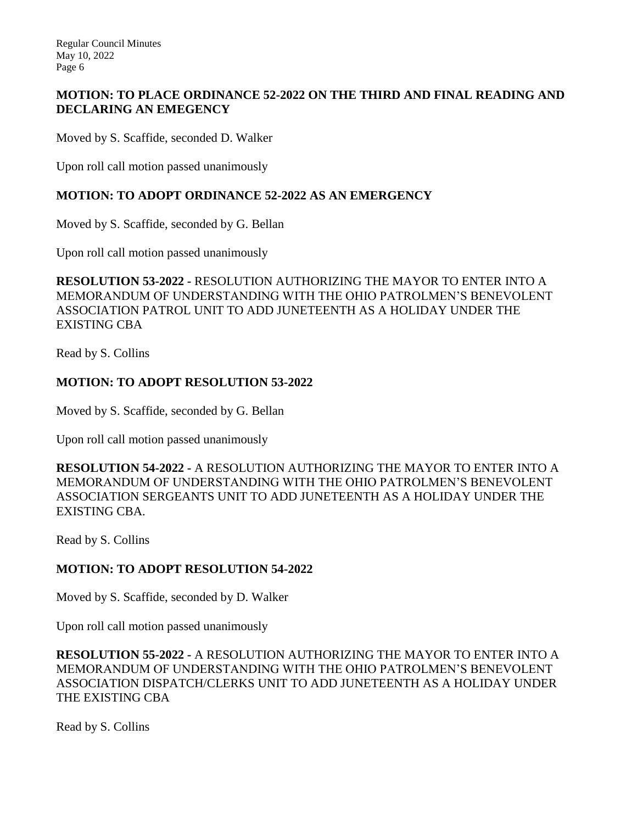# **MOTION: TO PLACE ORDINANCE 52-2022 ON THE THIRD AND FINAL READING AND DECLARING AN EMEGENCY**

Moved by S. Scaffide, seconded D. Walker

Upon roll call motion passed unanimously

# **MOTION: TO ADOPT ORDINANCE 52-2022 AS AN EMERGENCY**

Moved by S. Scaffide, seconded by G. Bellan

Upon roll call motion passed unanimously

**RESOLUTION 53-2022 -** RESOLUTION AUTHORIZING THE MAYOR TO ENTER INTO A MEMORANDUM OF UNDERSTANDING WITH THE OHIO PATROLMEN'S BENEVOLENT ASSOCIATION PATROL UNIT TO ADD JUNETEENTH AS A HOLIDAY UNDER THE EXISTING CBA

Read by S. Collins

# **MOTION: TO ADOPT RESOLUTION 53-2022**

Moved by S. Scaffide, seconded by G. Bellan

Upon roll call motion passed unanimously

**RESOLUTION 54-2022 -** A RESOLUTION AUTHORIZING THE MAYOR TO ENTER INTO A MEMORANDUM OF UNDERSTANDING WITH THE OHIO PATROLMEN'S BENEVOLENT ASSOCIATION SERGEANTS UNIT TO ADD JUNETEENTH AS A HOLIDAY UNDER THE EXISTING CBA.

Read by S. Collins

# **MOTION: TO ADOPT RESOLUTION 54-2022**

Moved by S. Scaffide, seconded by D. Walker

Upon roll call motion passed unanimously

**RESOLUTION 55-2022 -** A RESOLUTION AUTHORIZING THE MAYOR TO ENTER INTO A MEMORANDUM OF UNDERSTANDING WITH THE OHIO PATROLMEN'S BENEVOLENT ASSOCIATION DISPATCH/CLERKS UNIT TO ADD JUNETEENTH AS A HOLIDAY UNDER THE EXISTING CBA

Read by S. Collins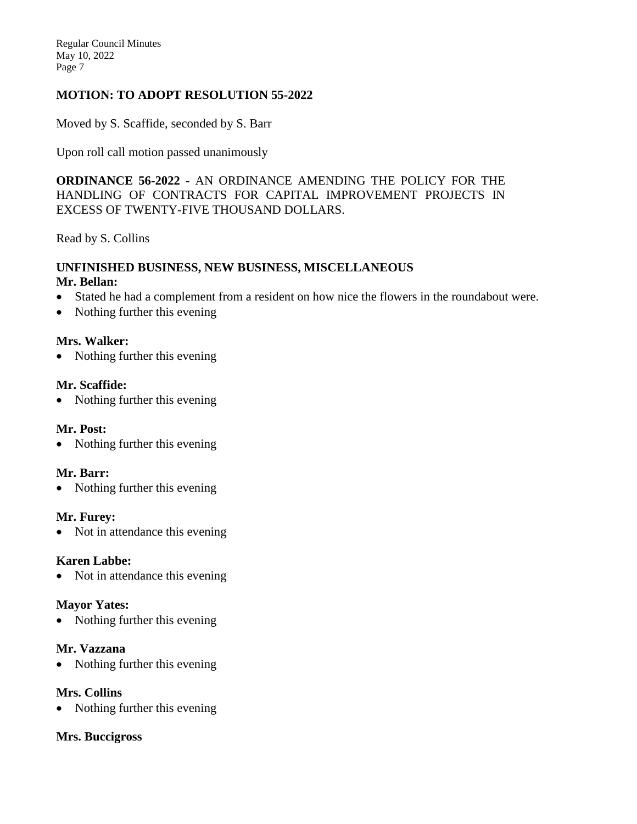# **MOTION: TO ADOPT RESOLUTION 55-2022**

Moved by S. Scaffide, seconded by S. Barr

Upon roll call motion passed unanimously

**ORDINANCE 56-2022** - AN ORDINANCE AMENDING THE POLICY FOR THE HANDLING OF CONTRACTS FOR CAPITAL IMPROVEMENT PROJECTS IN EXCESS OF TWENTY-FIVE THOUSAND DOLLARS.

Read by S. Collins

#### **UNFINISHED BUSINESS, NEW BUSINESS, MISCELLANEOUS Mr. Bellan:**

- Stated he had a complement from a resident on how nice the flowers in the roundabout were.
- Nothing further this evening

### **Mrs. Walker:**

• Nothing further this evening

### **Mr. Scaffide:**

• Nothing further this evening

### **Mr. Post:**

Nothing further this evening

### **Mr. Barr:**

• Nothing further this evening

### **Mr. Furey:**

• Not in attendance this evening

### **Karen Labbe:**

• Not in attendance this evening

### **Mayor Yates:**

• Nothing further this evening

### **Mr. Vazzana**

Nothing further this evening

### **Mrs. Collins**

Nothing further this evening

#### **Mrs. Buccigross**